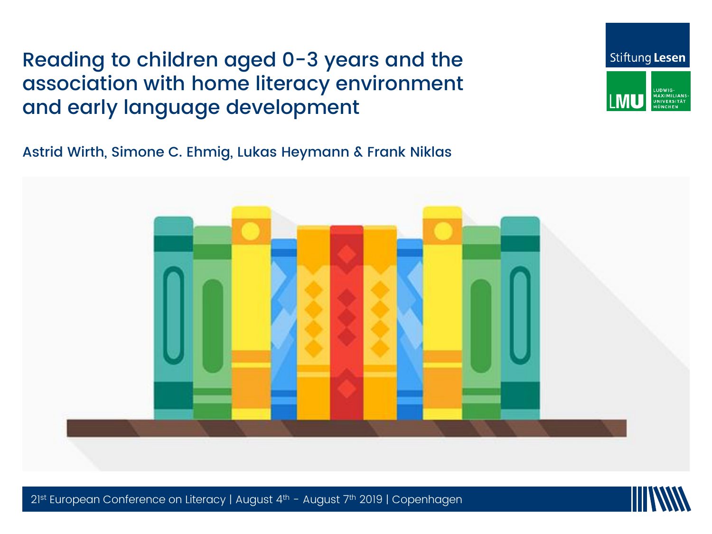#### Reading to children aged 0-3 years and the association with home literacy environment and early language development

Astrid Wirth, Simone C. Ehmig, Lukas Heymann & Frank Niklas





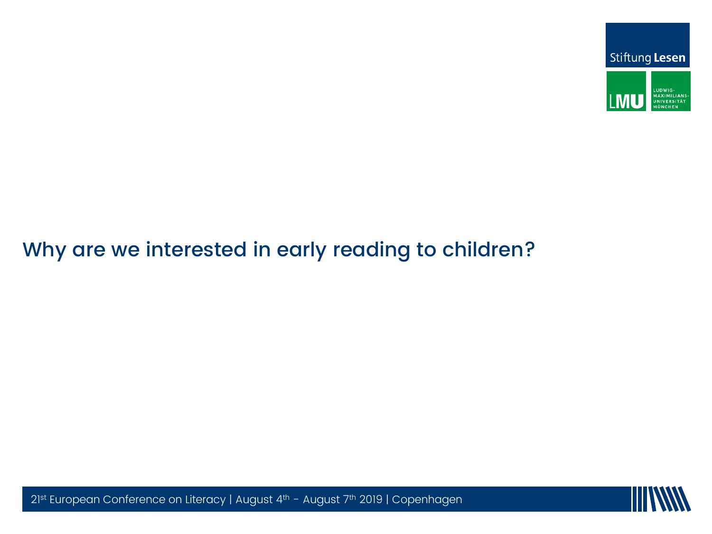

# Why are we interested in early reading to children?



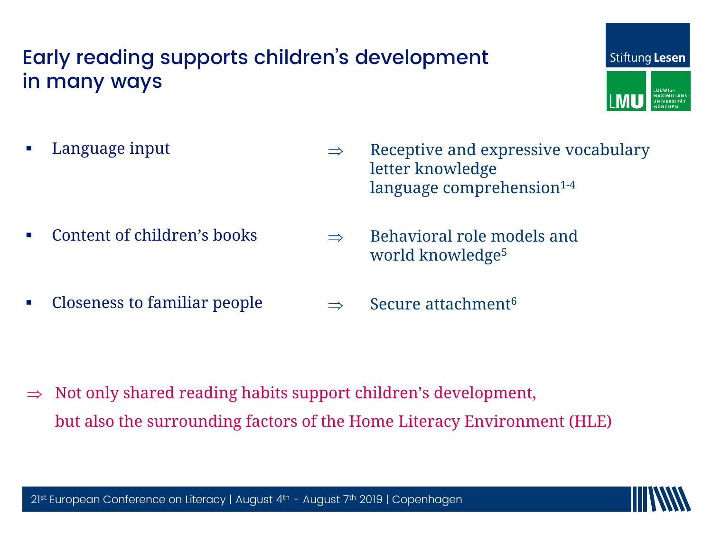#### Early reading supports children's development in many ways



**Language input** 

- $\Rightarrow$  Receptive and expressive vocabulary letter knowledge language comprehension<sup>1-4</sup>
- Content of children's books
	- $2\,$  world knowledge $^5$  $\Rightarrow$  Behavioral role models and
- Closeness to familiar people  $\Rightarrow$  Secure attachment<sup>6</sup>

 Not only shared reading habits support children's development, but also the surrounding factors of the Home Literacy Environment (HLE)

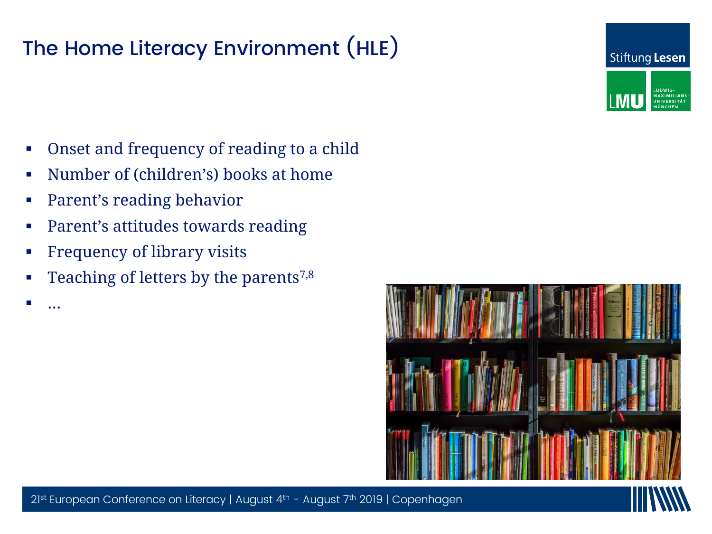### The Home Literacy Environment (HLE)



- Onset and frequency of reading to a child
- Number of (children's) books at home
- Parent's reading behavior
- Parent's attitudes towards reading
- **PERIMEN CONFERENCE OF LITERACY OF Library visits**
- Fundally 1 Teaching of letters by the parents<sup>7,8</sup>

…



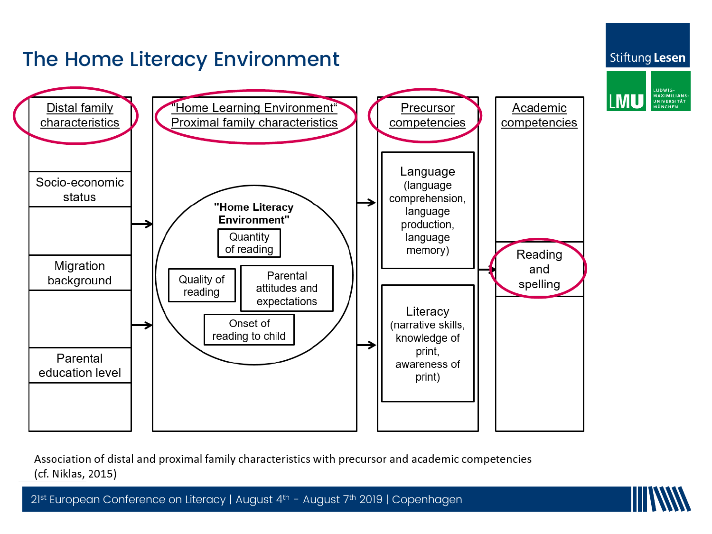

Association of distal and proximal family characteristics with precursor and academic competencies (cf. Niklas, 2015)

21st European Conference on Literacy | August 4th - August 7th 2019 | Copenhagen



LUDWIG-<br>MAXIMILIANS-<br>UNIVERSITÄT<br>MÜNCHEN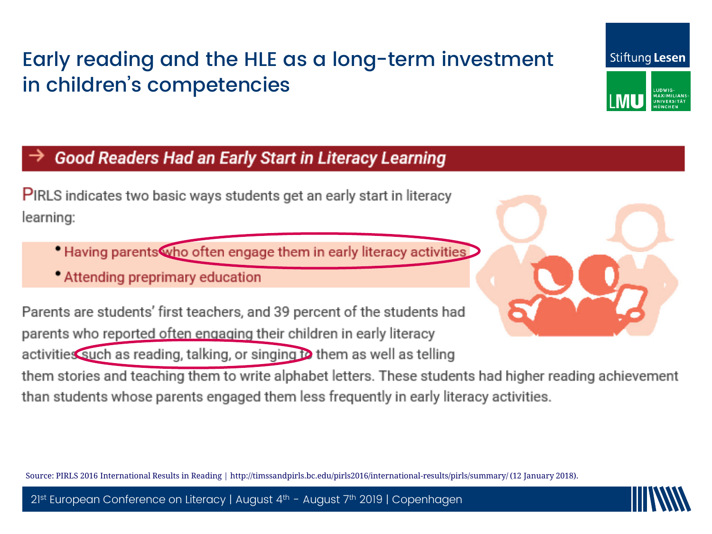## Early reading and the HLE as a long-term investment in children's competencies

#### Good Readers Had an Early Start in Literacy Learning

**PIRLS** indicates two basic ways students get an early start in literacy learning:

- Having parents who often engage them in early literacy activities
- Attending preprimary education

parents who reported often engaging their children in early literacy activities such as reading, talking, or singing to them as well as telling

them stories and teaching them to write alphabet letters. These students had higher reading achievement than students whose parents engaged them less frequently in early literacy activities.

Source: PIRLS 2016 International Results in Reading | http://timssandpirls.bc.edu/pirls2016/international-results/pirls/summary/ (12 January 2018).





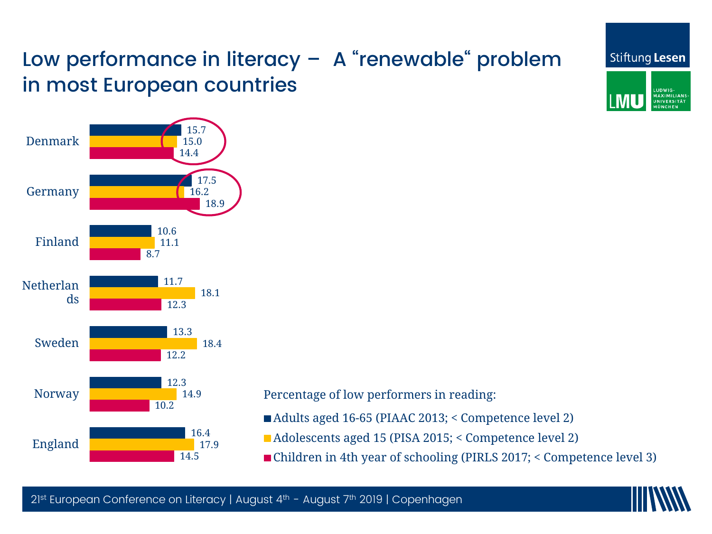## Low performance in literacy – A "renewable" problem in most European countries



Percentage of low performers in reading:

- Adults aged 16-65 (PIAAC 2013; < Competence level 2)
- Adolescents aged 15 (PISA 2015; < Competence level 2)
- Children in 4th year of schooling (PIRLS 2017; < Competence level 3)



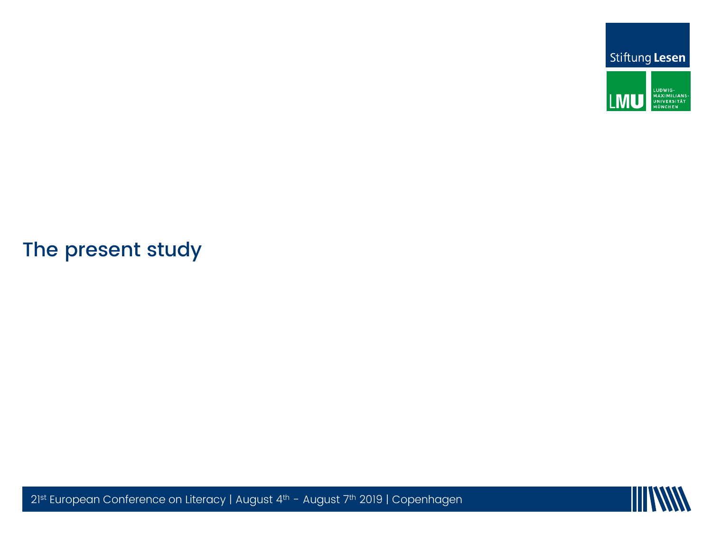

#### $21$ st European Conference on Literacy  $\mathcal{L}$ The present study

 $21$ <sup>st</sup> European Conference on Literacy | August 4<sup>th</sup> - August 7<sup>th</sup> 2019 | Copenhagen

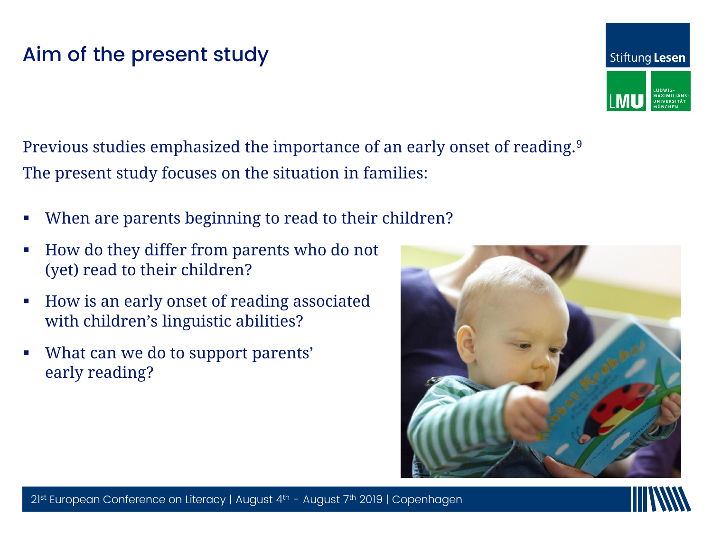#### Aim of the present study

Previous studies emphasized the importance of an early onset of reading.<sup>9</sup> The present study focuses on the situation in families:

- When are parents beginning to read to their children?
- $\blacksquare$  How do they differ from parents who do not (yet) read to their children?  $\qquad \qquad \qquad \qquad$
- How is an early onset of reading associated with children's linguistic abilities?
- What can we do to support parents' early reading?





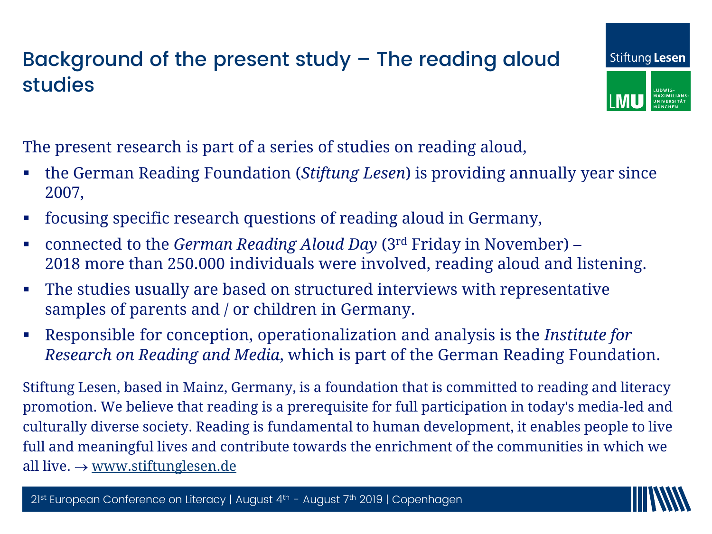#### Background of the present study – The reading aloud studies



The present research is part of a series of studies on reading aloud,

- the German Reading Foundation (*Stiftung Lesen*) is providing annually year since 2007,
- focusing specific research questions of reading aloud in Germany,
- $\alpha$  matricean griend  $\omega$  or  $\alpha$  in  $\alpha$  in  $\alpha$  is  $\alpha$  in  $\alpha$  in  $\alpha$  in  $\alpha$  in  $\alpha$  in  $\alpha$  in  $\alpha$  in  $\alpha$  in  $\alpha$  in  $\alpha$  in  $\alpha$  in  $\alpha$  in  $\alpha$  in  $\alpha$  in  $\alpha$  in  $\alpha$  in  $\alpha$  in  $\alpha$  in  $\alpha$  in  $\alpha$  in  $\alpha$  in connected to the *German Reading Aloud Day* (3rd Friday in November) – 2018 more than 250.000 individuals were involved, reading aloud and listening.
- $\frac{1}{1 + \frac{1}{1 + \frac{1}{1 + \frac{1}{1 + \frac{1}{1 + \frac{1}{1 + \frac{1}{1 + \frac{1}{1 + \frac{1}{1 + \frac{1}{1 + \frac{1}{1 + \frac{1}{1 + \frac{1}{1 + \frac{1}{1 + \frac{1}{1 + \frac{1}{1 + \frac{1}{1 + \frac{1}{1 + \frac{1}{1 + \frac{1}{1 + \frac{1}{1 + \frac{1}{1 + \frac{1}{1 + \frac{1}{1 + \frac{1}{1 + \frac{1}{1 + \frac{1}{1 + \frac{1}{1 + \frac{1}{1 + \frac{1}{1 + \frac{1}{1 + \frac{1$  $\blacksquare$  The studies usually are based on structured interviews with representative samples of parents and / or children in Germany.
- Responsible for conception, operationalization and analysis is the *Institute for Research on Reading and Media*, which is part of the German Reading Foundation.

Stiftung Lesen, based in Mainz, Germany, is a foundation that is committed to reading and literacy promotion. We believe that reading is a prerequisite for full participation in today's media-led and culturally diverse society. Reading is fundamental to human development, it enables people to live full and meaningful lives and contribute towards the enrichment of the communities in which we all live.  $\rightarrow$  [www.stiftunglesen.de](http://www.stiftunglesen.de/)

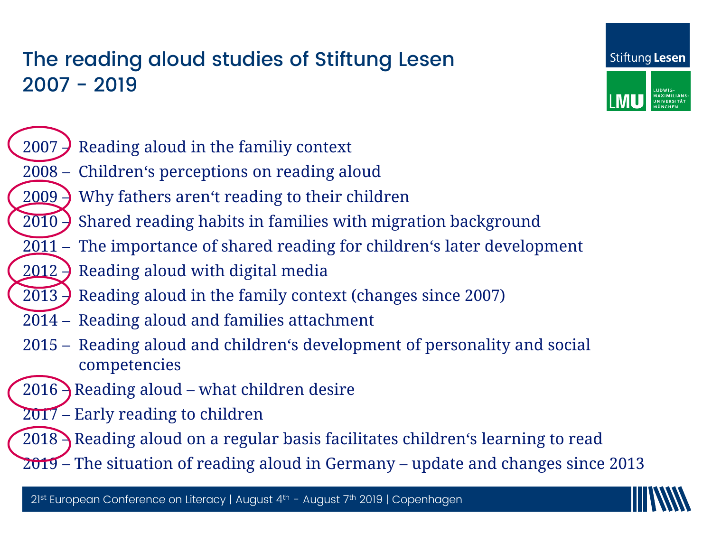#### The reading aloud studies of Stiftung Lesen 2007 - 2019





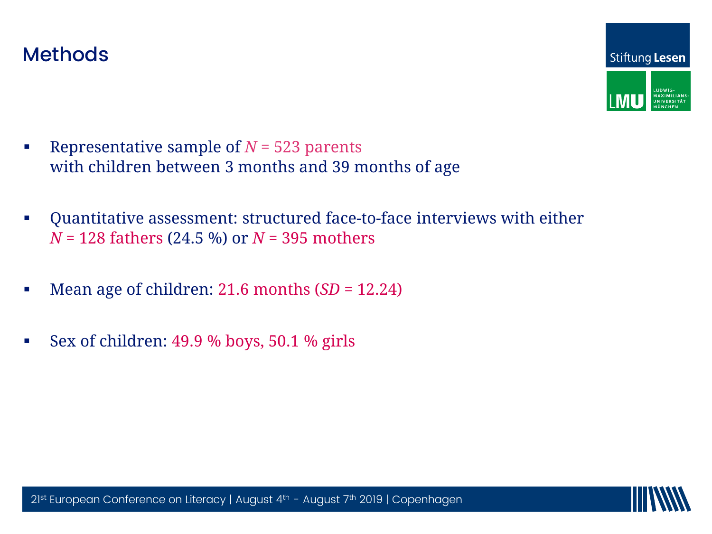

- **Representative sample of**  $N = 523$  **parents** with children between 3 months and 39 months of age
- Quantitative assessment: structured face-to-face interviews with either *N* = 128 fathers (24.5 %) or *N* = 395 mothers
- $\frac{1}{24.8}$   $\frac{1}{20.9}$ ,  $\frac{1}{20.9}$ ,  $\frac{1}{20.9}$ **Mean age of children: 21.6 months**  $(SD = 12.24)$
- Sex of children: 49.9 % boys, 50.1 % girls

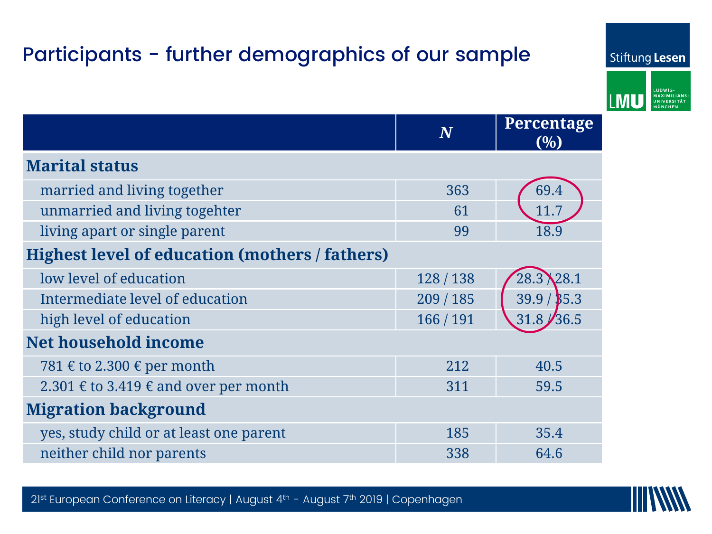## Participants - further demographics of our sample



|                                                       | $\bm{N}$  | Percentage<br>(0/0) |  |  |  |  |
|-------------------------------------------------------|-----------|---------------------|--|--|--|--|
| <b>Marital status</b>                                 |           |                     |  |  |  |  |
| married and living together                           | 363       | 69.4                |  |  |  |  |
| unmarried and living togehter                         | 61        | 11.7                |  |  |  |  |
| living apart or single parent                         | 99        | 18.9                |  |  |  |  |
| <b>Highest level of education (mothers / fathers)</b> |           |                     |  |  |  |  |
| low level of education                                | 128 / 138 | 28.3 28.1           |  |  |  |  |
| Intermediate level of education                       | 209/185   | 39.9 / \$5.3        |  |  |  |  |
| high level of education                               | 166 / 191 | 36.5<br>31.8        |  |  |  |  |
| <b>Net household income</b>                           |           |                     |  |  |  |  |
| 781 € to 2.300 € per month                            | 212       | 40.5                |  |  |  |  |
| 2.301 € to 3.419 € and over per month                 | 311       | 59.5                |  |  |  |  |
| <b>Migration background</b>                           |           |                     |  |  |  |  |
| yes, study child or at least one parent               | 185       | 35.4                |  |  |  |  |
| neither child nor parents                             | 338       | 64.6                |  |  |  |  |



Stiftung Lesen

LUDWIG-<br>MAXIMILIANS-<br>UNIVERSITÄT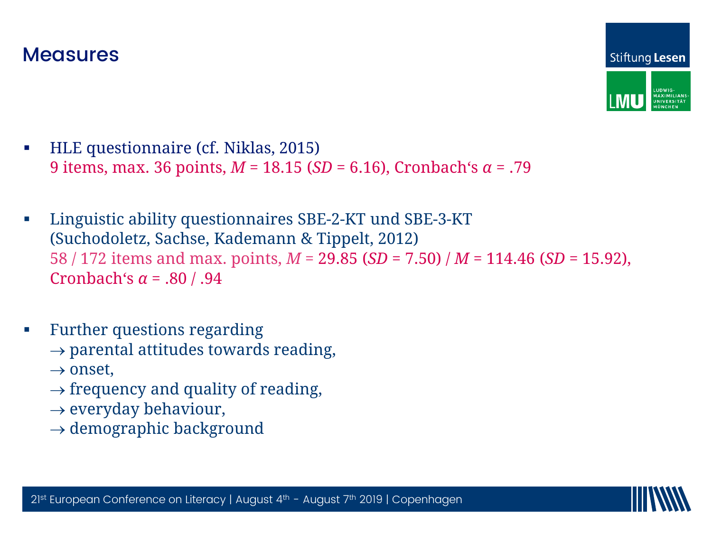

- HLE questionnaire (cf. Niklas, 2015) 9 items, max. 36 points, *M* = 18.15 (*SD* = 6.16), Cronbach's *α* = .79
- 58 / 172 items and max. points,  $M = 29.85$  (*SD* = 7.50) /  $M = 114.46$  (*SD* = 15.92),  $$  Linguistic ability questionnaires SBE-2-KT und SBE-3-KT (Suchodoletz, Sachse, Kademann & Tippelt, 2012)
- **Further questions regarding** 
	- $\rightarrow$  parental attitudes towards reading,
	- $\rightarrow$  onset,
	- $\rightarrow$  frequency and quality of reading,
	- $\rightarrow$  everyday behaviour,
	- $\rightarrow$  demographic background

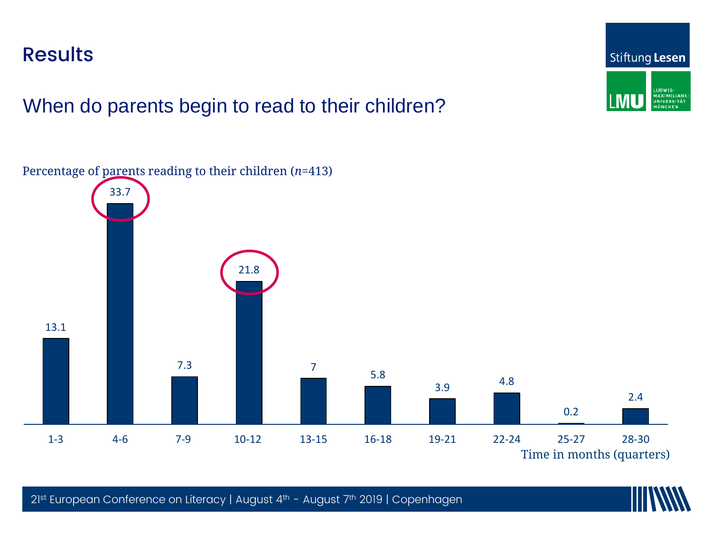**Results** 

When do parents begin to read to their children?

Percentage of parents reading to their children (*n*=413)

 $\sum_{i=1}^n$  $\left( \frac{21.8}{\pi} \right)$ Copenhagen 13.1 33.7 7.3 21.8 7 5.8 3.9 4.8 0.2 2.4 1-3 4-6 7-9 10-12 13-15 16-18 19-21 22-24 25-27 28-30





Time in months (quarters)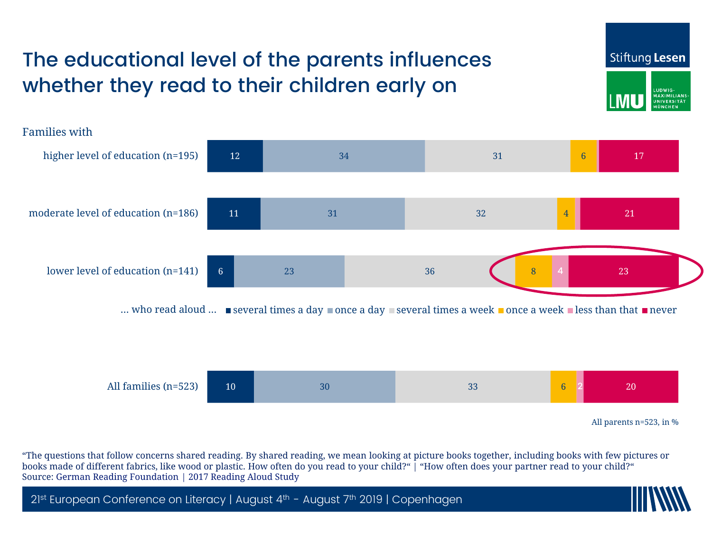## The educational level of the parents influences whether they read to their children early on





"The questions that follow concerns shared reading. By shared reading, we mean looking at picture books together, including books with few pictures or books made of different fabrics, like wood or plastic. How often do you read to your child?" | "How often does your partner read to your child?" Source: German Reading Foundation | 2017 Reading Aloud Study

2<sup>1st</sup> European Conference on Literacy | August 4<sup>th</sup> - August 7<sup>th</sup> 2019 | Copenhagen

Stiftung Lesen

**UDWIG MAXIMILIANS JNIVERSITÄ**T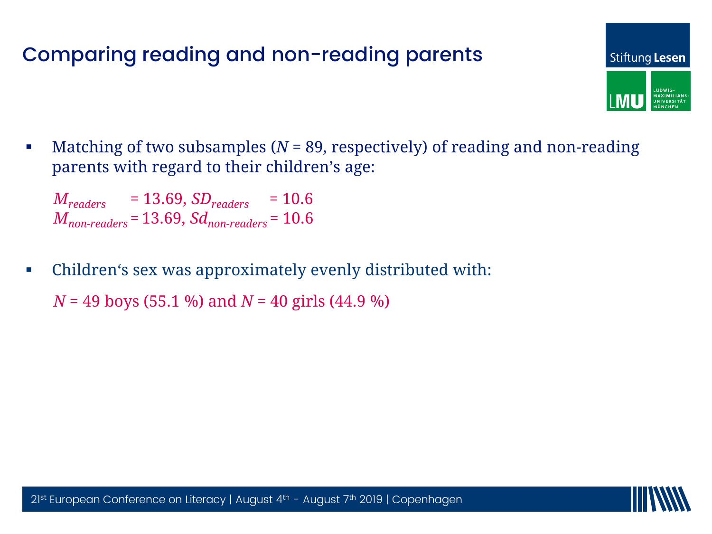#### Comparing reading and non-reading parents



 Matching of two subsamples (*N* = 89, respectively) of reading and non-reading parents with regard to their children's age:

*Mreaders* = 13.69, *SDreaders* = 10.6 *Mnon-readers* = 13.69, *Sdnon-readers* = 10.6

21st European Conference on Literacy | • Children's sex was approximately evenly distributed with:

 $N = 49$  boys (55.1 %) and  $N = 40$  girls (44.9 %)

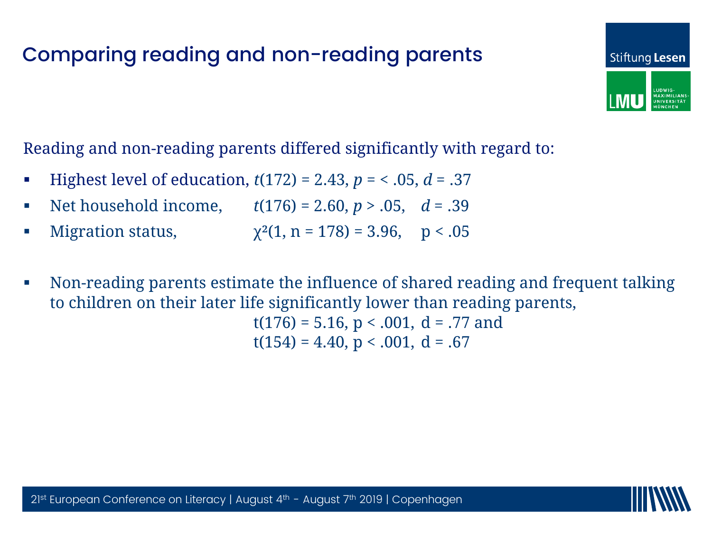#### Comparing reading and non-reading parents





- **Highest level of education,**  $t(172) = 2.43$ **,**  $p = 5.05$ **,**  $d = .37$
- Net household income,  $t(176) = 2.60, p > .05, d = .39$
- Migration status,  $\chi^2(1, n = 178) = 3.96, \quad p < .05$
- Non-reading parents estimate the influence of shared reading and frequent talking to children on their later life significantly lower than reading parents,  $t(176) = 5.16$ ,  $p < .001$ ,  $d = .77$  and  $t(154) = 4.40, p < .001, d = .67$

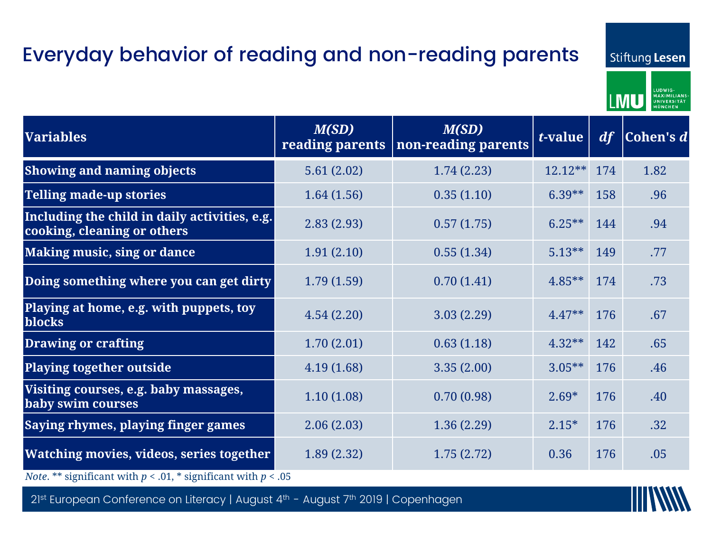## Everyday behavior of reading and non-reading parents

Stiftung Lesen



| <b>Variables</b>                                                             | M(SD)<br>reading parents | M(SD)<br>non-reading parents | t-value   | df  | Cohen's d |
|------------------------------------------------------------------------------|--------------------------|------------------------------|-----------|-----|-----------|
| <b>Showing and naming objects</b>                                            | 5.61(2.02)               | 1.74(2.23)                   | $12.12**$ | 174 | 1.82      |
| <b>Telling made-up stories</b>                                               | 1.64(1.56)               | 0.35(1.10)                   | $6.39***$ | 158 | .96       |
| Including the child in daily activities, e.g.<br>cooking, cleaning or others | 2.83(2.93)               | 0.57(1.75)                   | $6.25***$ | 144 | .94       |
| <b>Making music, sing or dance</b>                                           | 1.91(2.10)               | 0.55(1.34)                   | $5.13***$ | 149 | .77       |
| Doing something where you can get dirty                                      | 1.79(1.59)               | 0.70(1.41)                   | $4.85***$ | 174 | .73       |
| Playing at home, e.g. with puppets, toy<br>blocks                            | 4.54(2.20)               | 3.03(2.29)                   | $4.47**$  | 176 | .67       |
| <b>Drawing or crafting</b>                                                   | 1.70(2.01)               | 0.63(1.18)                   | $4.32**$  | 142 | .65       |
| <b>Playing together outside</b>                                              | 4.19(1.68)               | 3.35(2.00)                   | $3.05***$ | 176 | .46       |
| Visiting courses, e.g. baby massages,<br>baby swim courses                   | 1.10(1.08)               | 0.70(0.98)                   | $2.69*$   | 176 | .40       |
| Saying rhymes, playing finger games                                          | 2.06(2.03)               | 1.36(2.29)                   | $2.15*$   | 176 | .32       |
| Watching movies, videos, series together                                     | 1.89(2.32)               | 1.75(2.72)                   | 0.36      | 176 | .05       |
| <i>Note.</i> ** significant with $p < .01$ , * significant with $p < .05$    |                          |                              |           |     |           |

2<sup>1st</sup> European Conference on Literacy | August 4<sup>th</sup> - August 7<sup>th</sup> 2019 | Copenhagen

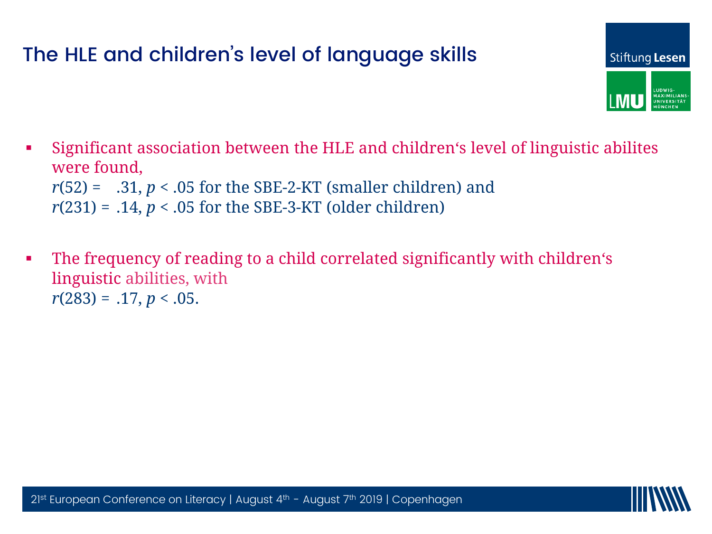#### The HLE and children's level of language skills



- Significant association between the HLE and children's level of linguistic abilites were found,  $r(52) = .31, p < .05$  for the SBE-2-KT (smaller children) and *r*(231) = .14, *p* < .05 for the SBE-3-KT (older children)
- The frequency of reading to a child correlated significantly with children's linguistic abilities, with  $\overline{\phantom{a}}$  $r(283) = .17, p < .05.$

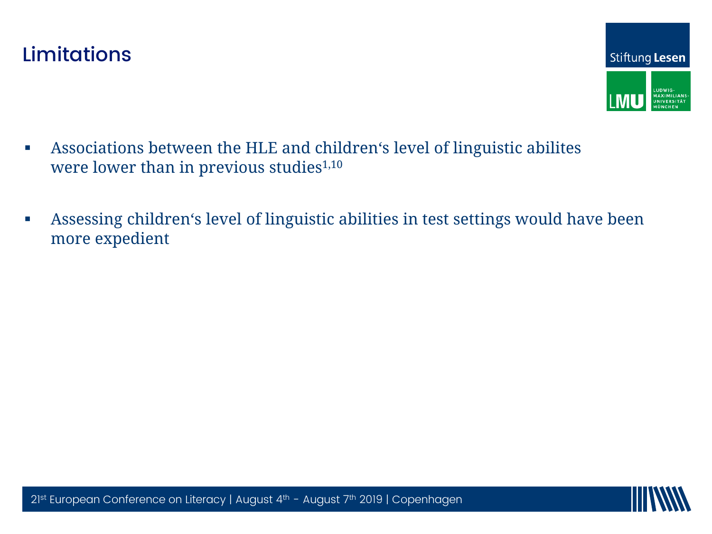

- Associations between the HLE and children's level of linguistic abilites were lower than in previous studies<sup>1,10</sup>
- Assessing children's level of linguistic abilities in test settings would have been more expedient

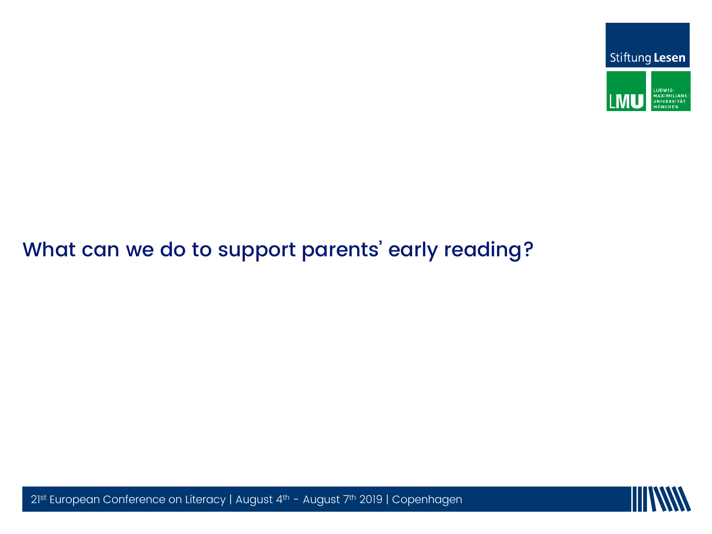

## What can we do to support parents' early reading?



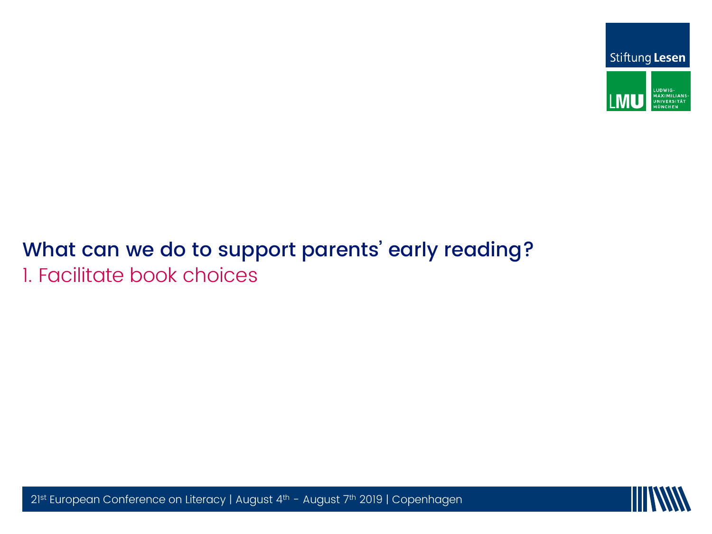

#### What can we do to support parents' early reading? 1. Facilitate book choices



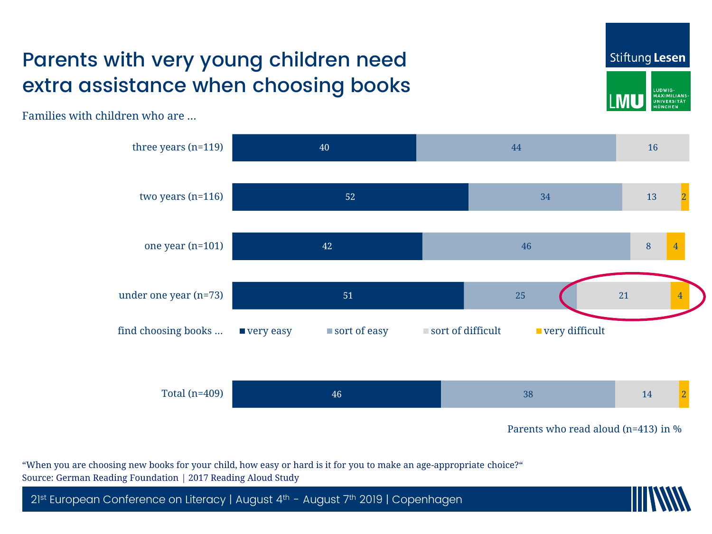### Parents with very young children need extra assistance when choosing books

Stiftung Lesen



Families with children who are …



"When you are choosing new books for your child, how easy or hard is it for you to make an age-appropriate choice?" Source: German Reading Foundation | 2017 Reading Aloud Study

2<sup>1st</sup> European Conference on Literacy | August 4<sup>th</sup> - August 7<sup>th</sup> 2019 | Copenhagen

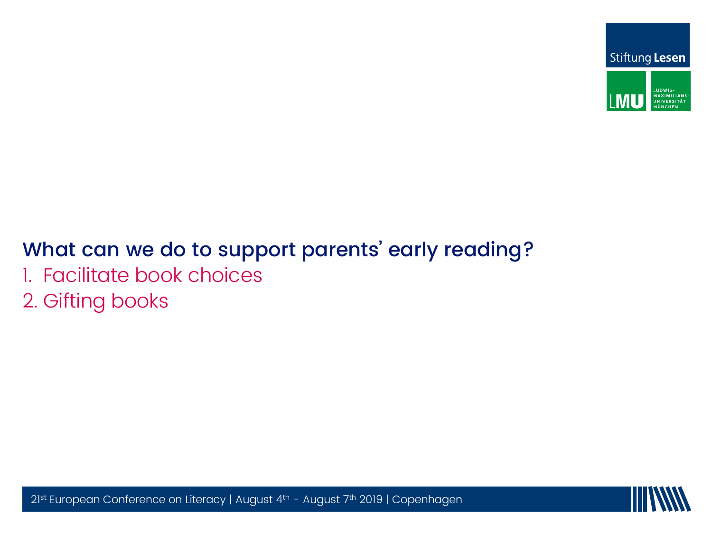



# What can we do to support parents' early reading?

- 1. Facilitate book choices
- 2. Gifting books

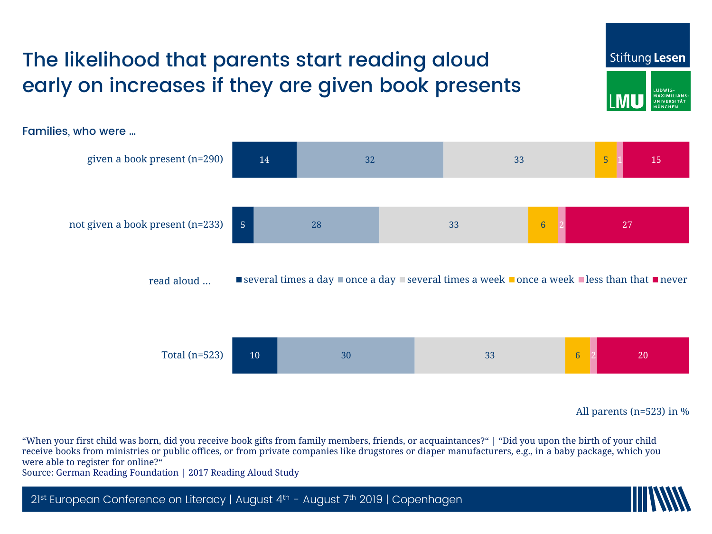

All parents (n=523) in %

"When your first child was born, did you receive book gifts from family members, friends, or acquaintances?" | "Did you upon the birth of your child receive books from ministries or public offices, or from private companies like drugstores or diaper manufacturers, e.g., in a baby package, which you were able to register for online?"

Source: German Reading Foundation | 2017 Reading Aloud Study

2<sup>1st</sup> European Conference on Literacy | August 4<sup>th</sup> - August 7<sup>th</sup> 2019 | Copenhagen

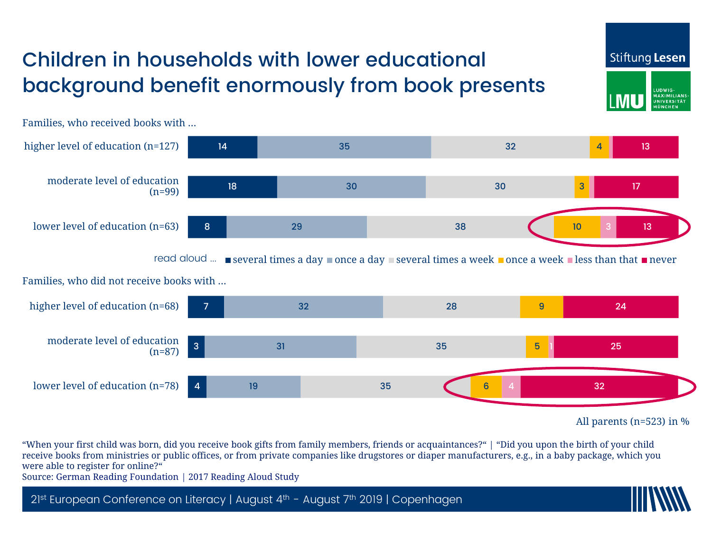## Children in households with lower educational background benefit enormously from book presents



Families, who received books with …

All parents (n=523) in %

Stiftung Lesen

UDWIG **MAXIMILIAN JNIVERSITÄ**T

"When your first child was born, did you receive book gifts from family members, friends or acquaintances?" | "Did you upon the birth of your child receive books from ministries or public offices, or from private companies like drugstores or diaper manufacturers, e.g., in a baby package, which you were able to register for online?"

Source: German Reading Foundation | 2017 Reading Aloud Study

2<sup>1st</sup> European Conference on Literacy | August 4<sup>th</sup> - August 7<sup>th</sup> 2019 | Copenhagen

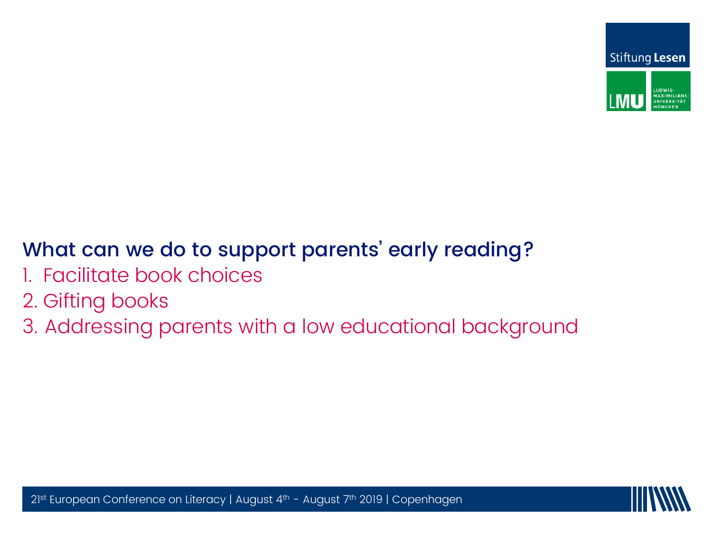



# What can we do to support parents' early reading?

- 1. Facilitate book choices
- 2. Gifting books
- 3. Addressing parents with a low educational background

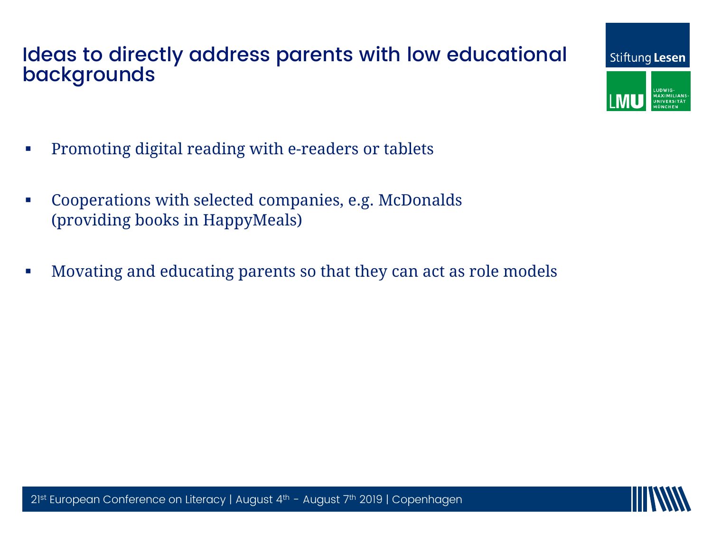#### Ideas to directly address parents with low educational backgrounds

- **•** Promoting digital reading with e-readers or tablets
- Cooperations with selected companies, e.g. McDonalds (providing books in HappyMeals)
- 21st European Conference on Literacy |  $\textcolor{red}{\bullet}$  Movating and educating parents so that they can act as role models

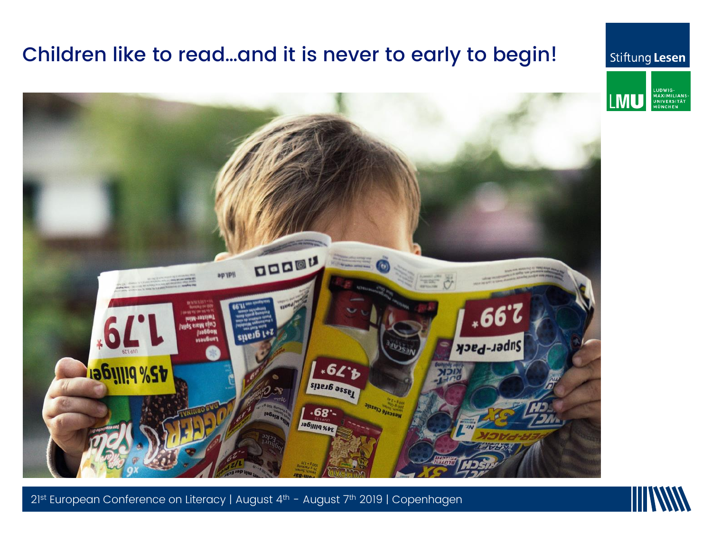#### Children like to read…and it is never to early to begin!

#### Stiftung Lesen





21st European Conference on Literacy | August 4th - August 7th 2019 | Copenhagen

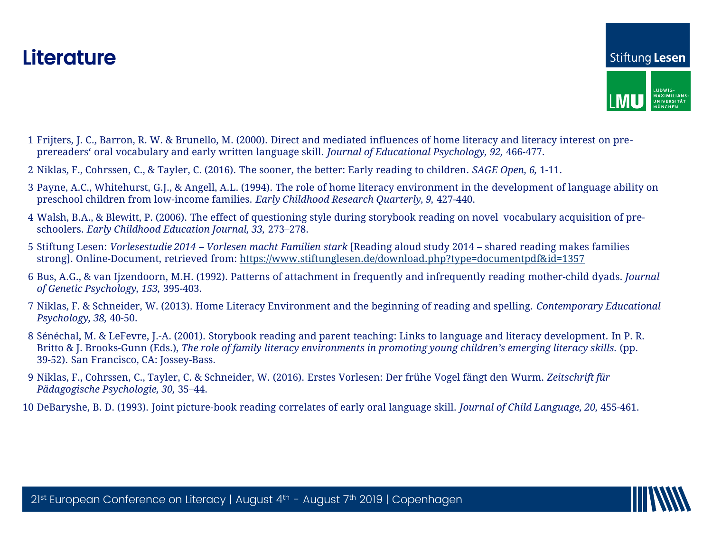

- 1 Frijters, J. C., Barron, R. W. & Brunello, M. (2000). Direct and mediated influences of home literacy and literacy interest on preprereaders' oral vocabulary and early written language skill. *Journal of Educational Psychology, 92,* 466-477.
- 2 Niklas, F., Cohrssen, C., & Tayler, C. (2016). The sooner, the better: Early reading to children. *SAGE Open, 6,* 1-11.
- 3 Payne, A.C., Whitehurst, G.J., & Angell, A.L. (1994). The role of home literacy environment in the development of language ability on preschool children from low-income families. *Early Childhood Research Quarterly, 9,* 427-440.
- 4 Walsh, B.A., & Blewitt, P. (2006). The effect of questioning style during storybook reading on novel vocabulary acquisition of preschoolers. *Early Childhood Education Journal, 33,* 273–278.
- 3 Surtung Lesen. *Vortesestudie 2014 Vortesen macht 1 amaten stark* [Reading aloud study 2014 shared reading make<br>strong]. Online-Document, retrieved from: <u>https://www.stiftunglesen.de/download.php?type=documentpdf&id</u> 5 Stiftung Lesen: *Vorlesestudie 2014 – Vorlesen macht Familien stark* [Reading aloud study 2014 – shared reading makes families
- 6 Bus, A.G., & van Ijzendoorn, M.H. (1992). Patterns of attachment in frequently and infrequently reading mother-child dyads. *Journal of Genetic Psychology, 153,* 395-403.
- of Genetic Asychology, 133, 395-403.<br>7 Niklas, F. & Schneider, W. (2013). Home Literacy Environment and the beginning of reading and spelling. *Contemporary Educational Psychology, 38,* 40-50.
- 8 Sénéchal, M. & LeFevre, J.-A. (2001). Storybook reading and parent teaching: Links to language and literacy development. In P. R. Britto & J. Brooks-Gunn (Eds.), *The role of family literacy environments in promoting young children's emerging literacy skills.* (pp. 39-52). San Francisco, CA: Jossey-Bass.
- 9 Niklas, F., Cohrssen, C., Tayler, C. & Schneider, W. (2016). Erstes Vorlesen: Der frühe Vogel fängt den Wurm. *Zeitschrift für Pädagogische Psychologie, 30,* 35–44.
- 10 DeBaryshe, B. D. (1993). Joint picture-book reading correlates of early oral language skill. *Journal of Child Language, 20,* 455-461.